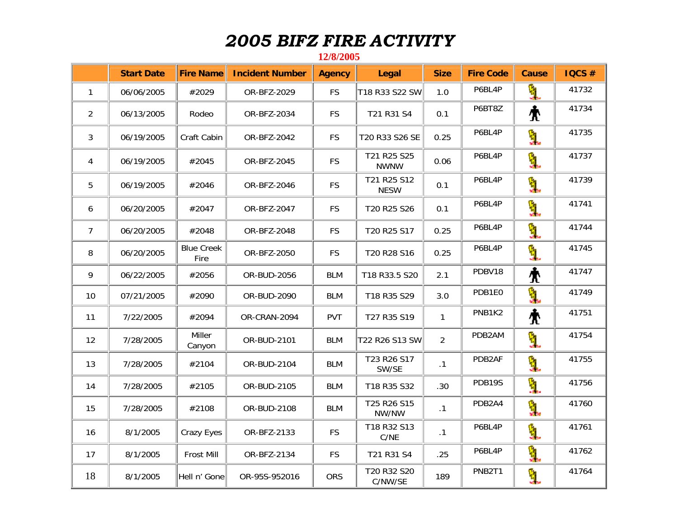## *2005 BIFZ FIRE ACTIVITY* **12/8/2005**

|                | <b>Start Date</b> | <b>Fire Name</b>          | <b>Incident Number</b> | <b>Agency</b> | Legal                      | <b>Size</b>  | <b>Fire Code</b> | <b>Cause</b> | IQCS# |
|----------------|-------------------|---------------------------|------------------------|---------------|----------------------------|--------------|------------------|--------------|-------|
| $\mathbf{1}$   | 06/06/2005        | #2029                     | OR-BFZ-2029            | <b>FS</b>     | T18 R33 S22 SW             | 1.0          | P6BL4P           | ý,           | 41732 |
| 2              | 06/13/2005        | Rodeo                     | OR-BFZ-2034            | <b>FS</b>     | T21 R31 S4                 | 0.1          | P6BT8Z           | ∱            | 41734 |
| 3              | 06/19/2005        | Craft Cabin               | OR-BFZ-2042            | <b>FS</b>     | T20 R33 S26 SE             | 0.25         | P6BL4P           | ý,           | 41735 |
| $\overline{4}$ | 06/19/2005        | #2045                     | OR-BFZ-2045            | FS            | T21 R25 S25<br><b>NWNW</b> | 0.06         | P6BL4P           | ý,           | 41737 |
| 5              | 06/19/2005        | #2046                     | OR-BFZ-2046            | FS            | T21 R25 S12<br><b>NESW</b> | 0.1          | P6BL4P           | ý,           | 41739 |
| 6              | 06/20/2005        | #2047                     | OR-BFZ-2047            | <b>FS</b>     | T20 R25 S26                | 0.1          | P6BL4P           | ý,           | 41741 |
| $\overline{7}$ | 06/20/2005        | #2048                     | OR-BFZ-2048            | <b>FS</b>     | T20 R25 S17                | 0.25         | P6BL4P           | ý,           | 41744 |
| 8              | 06/20/2005        | <b>Blue Creek</b><br>Fire | OR-BFZ-2050            | <b>FS</b>     | T20 R28 S16                | 0.25         | P6BL4P           | ý.           | 41745 |
| 9              | 06/22/2005        | #2056                     | OR-BUD-2056            | <b>BLM</b>    | T18 R33.5 S20              | 2.1          | PDBV18           | €            | 41747 |
| 10             | 07/21/2005        | #2090                     | OR-BUD-2090            | <b>BLM</b>    | T18 R35 S29                | 3.0          | PDB1E0           | ÿ.           | 41749 |
| 11             | 7/22/2005         | #2094                     | OR-CRAN-2094           | PVT           | T27 R35 S19                | $\mathbf{1}$ | PNB1K2           | Ϋ            | 41751 |
| 12             | 7/28/2005         | Miller<br>Canyon          | OR-BUD-2101            | <b>BLM</b>    | T22 R26 S13 SW             | 2            | PDB2AM           | Ÿ.           | 41754 |
| 13             | 7/28/2005         | #2104                     | OR-BUD-2104            | <b>BLM</b>    | T23 R26 S17<br>SW/SE       | .1           | PDB2AF           | Ÿ.           | 41755 |
| 14             | 7/28/2005         | #2105                     | OR-BUD-2105            | <b>BLM</b>    | T18 R35 S32                | .30          | PDB19S           | ý,           | 41756 |
| 15             | 7/28/2005         | #2108                     | OR-BUD-2108            | <b>BLM</b>    | T25 R26 S15<br>NW/NW       | .1           | PDB2A4           | ý,           | 41760 |
| 16             | 8/1/2005          | Crazy Eyes                | OR-BFZ-2133            | <b>FS</b>     | T18 R32 S13<br>C/NE        | $\cdot$ 1    | P6BL4P           | ý.           | 41761 |
| 17             | 8/1/2005          | <b>Frost Mill</b>         | OR-BFZ-2134            | <b>FS</b>     | T21 R31 S4                 | .25          | P6BL4P           | ŷ.           | 41762 |
| 18             | 8/1/2005          | Hell n' Gone              | OR-95S-952016          | <b>ORS</b>    | T20 R32 S20<br>C/NW/SE     | 189          | PNB2T1           | ý,           | 41764 |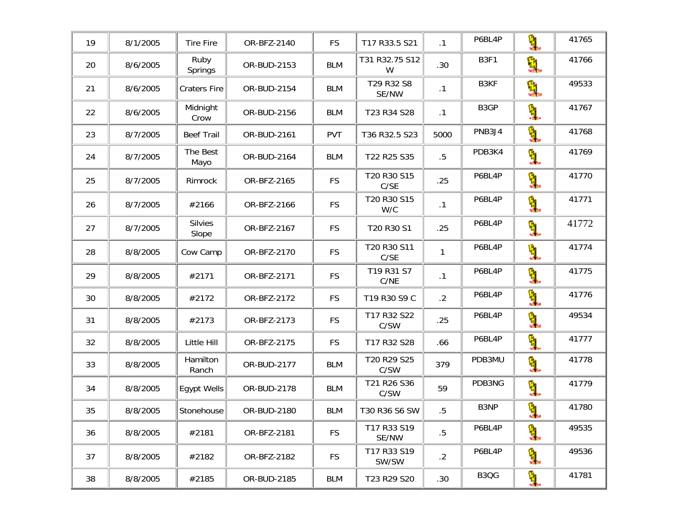| 19 | 8/1/2005 | <b>Tire Fire</b>        | OR-BFZ-2140 | <b>FS</b>  | T17 R33.5 S21        | $\cdot$ 1        | P6BL4P | Ů.                                 | 41765 |
|----|----------|-------------------------|-------------|------------|----------------------|------------------|--------|------------------------------------|-------|
| 20 | 8/6/2005 | Ruby<br>Springs         | OR-BUD-2153 | <b>BLM</b> | T31 R32.75 S12<br>W  | .30              | B3F1   | ÿ.                                 | 41766 |
| 21 | 8/6/2005 | <b>Craters Fire</b>     | OR-BUD-2154 | <b>BLM</b> | T29 R32 S8<br>SE/NW  | $\cdot$ 1        | B3KF   | ŷ.                                 | 49533 |
| 22 | 8/6/2005 | Midnight<br>Crow        | OR-BUD-2156 | <b>BLM</b> | T23 R34 S28          | $\cdot$ 1        | B3GP   | Ý.                                 | 41767 |
| 23 | 8/7/2005 | <b>Beef Trail</b>       | OR-BUD-2161 | <b>PVT</b> | T36 R32.5 S23        | 5000             | PNB3J4 | ŷ.                                 | 41768 |
| 24 | 8/7/2005 | The Best<br>Mayo        | OR-BUD-2164 | <b>BLM</b> | T22 R25 S35          | $.5\,$           | PDB3K4 | ý.                                 | 41769 |
| 25 | 8/7/2005 | Rimrock                 | OR-BFZ-2165 | <b>FS</b>  | T20 R30 S15<br>C/SE  | .25              | P6BL4P | Ů.                                 | 41770 |
| 26 | 8/7/2005 | #2166                   | OR-BFZ-2166 | <b>FS</b>  | T20 R30 S15<br>W/C   | $\cdot$ 1        | P6BL4P | ý.                                 | 41771 |
| 27 | 8/7/2005 | <b>Silvies</b><br>Slope | OR-BFZ-2167 | <b>FS</b>  | T20 R30 S1           | .25              | P6BL4P | ý.                                 | 41772 |
| 28 | 8/8/2005 | Cow Camp                | OR-BFZ-2170 | <b>FS</b>  | T20 R30 S11<br>C/SE  | $\mathbf{1}$     | P6BL4P | ÿ.                                 | 41774 |
| 29 | 8/8/2005 | #2171                   | OR-BFZ-2171 | <b>FS</b>  | T19 R31 S7<br>C/NE   | $\cdot$ 1        | P6BL4P | ý.                                 | 41775 |
| 30 | 8/8/2005 | #2172                   | OR-BFZ-2172 | <b>FS</b>  | T19 R30 S9 C         | $.2\overline{ }$ | P6BL4P | ý.                                 | 41776 |
| 31 | 8/8/2005 | #2173                   | OR-BFZ-2173 | <b>FS</b>  | T17 R32 S22<br>C/SW  | .25              | P6BL4P | ý.                                 | 49534 |
| 32 | 8/8/2005 | Little Hill             | OR-BFZ-2175 | <b>FS</b>  | T17 R32 S28          | .66              | P6BL4P | ý.                                 | 41777 |
| 33 | 8/8/2005 | Hamilton<br>Ranch       | OR-BUD-2177 | <b>BLM</b> | T20 R29 S25<br>C/SW  | 379              | PDB3MU | ý.                                 | 41778 |
| 34 | 8/8/2005 | <b>Egypt Wells</b>      | OR-BUD-2178 | <b>BLM</b> | T21 R26 S36<br>C/SW  | 59               | PDB3NG | ý.                                 | 41779 |
| 35 | 8/8/2005 | Stonehouse              | OR-BUD-2180 | <b>BLM</b> | T30 R36 S6 SW        | .5               | B3NP   | ů,<br><b><i><u>PASSARE</u></i></b> | 41780 |
| 36 | 8/8/2005 | #2181                   | OR-BFZ-2181 | <b>FS</b>  | T17 R33 S19<br>SE/NW | $.5\,$           | P6BL4P | ů.                                 | 49535 |
| 37 | 8/8/2005 | #2182                   | OR-BFZ-2182 | <b>FS</b>  | T17 R33 S19<br>SW/SW | $\cdot$ 2        | P6BL4P | Ý.                                 | 49536 |
| 38 | 8/8/2005 | #2185                   | OR-BUD-2185 | <b>BLM</b> | T23 R29 S20          | .30              | B3QG   | ý.                                 | 41781 |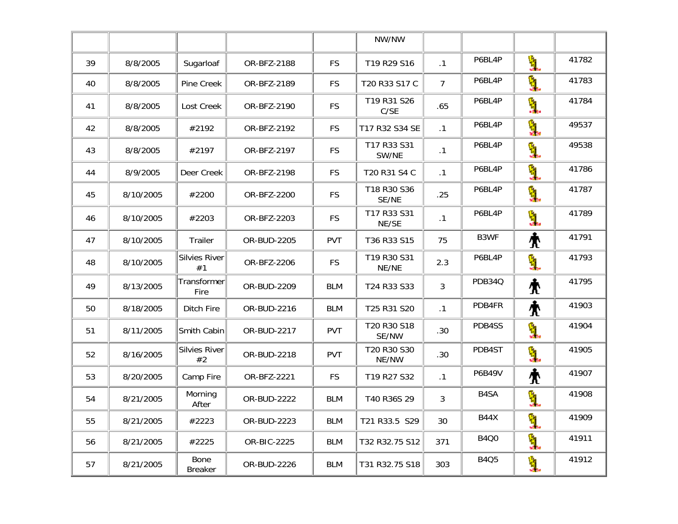|    |           |                            |             |            | NW/NW                |                |             |    |       |
|----|-----------|----------------------------|-------------|------------|----------------------|----------------|-------------|----|-------|
| 39 | 8/8/2005  | Sugarloaf                  | OR-BFZ-2188 | <b>FS</b>  | T19 R29 S16          | .1             | P6BL4P      | ģ, | 41782 |
| 40 | 8/8/2005  | Pine Creek                 | OR-BFZ-2189 | <b>FS</b>  | T20 R33 S17 C        | $\overline{7}$ | P6BL4P      | ý. | 41783 |
| 41 | 8/8/2005  | Lost Creek                 | OR-BFZ-2190 | <b>FS</b>  | T19 R31 S26<br>C/SE  | .65            | P6BL4P      | Å. | 41784 |
| 42 | 8/8/2005  | #2192                      | OR-BFZ-2192 | <b>FS</b>  | T17 R32 S34 SE       | .1             | P6BL4P      | ý, | 49537 |
| 43 | 8/8/2005  | #2197                      | OR-BFZ-2197 | <b>FS</b>  | T17 R33 S31<br>SW/NE | .1             | P6BL4P      | ý. | 49538 |
| 44 | 8/9/2005  | Deer Creek                 | OR-BFZ-2198 | <b>FS</b>  | T20 R31 S4 C         | .1             | P6BL4P      | ý, | 41786 |
| 45 | 8/10/2005 | #2200                      | OR-BFZ-2200 | <b>FS</b>  | T18 R30 S36<br>SE/NE | .25            | P6BL4P      | ý. | 41787 |
| 46 | 8/10/2005 | #2203                      | OR-BFZ-2203 | <b>FS</b>  | T17 R33 S31<br>NE/SE | $\cdot$ 1      | P6BL4P      | ý. | 41789 |
| 47 | 8/10/2005 | Trailer                    | OR-BUD-2205 | <b>PVT</b> | T36 R33 S15          | 75             | B3WF        | ∱  | 41791 |
| 48 | 8/10/2005 | <b>Silvies River</b><br>#1 | OR-BFZ-2206 | <b>FS</b>  | T19 R30 S31<br>NE/NE | 2.3            | P6BL4P      | h  | 41793 |
| 49 | 8/13/2005 | Transformer<br>Fire        | OR-BUD-2209 | <b>BLM</b> | T24 R33 S33          | 3              | PDB34Q      | Ϋ  | 41795 |
| 50 | 8/18/2005 | Ditch Fire                 | OR-BUD-2216 | <b>BLM</b> | T25 R31 S20          | $\cdot$ 1      | PDB4FR      | €  | 41903 |
| 51 | 8/11/2005 | Smith Cabin                | OR-BUD-2217 | <b>PVT</b> | T20 R30 S18<br>SE/NW | .30            | PDB4SS      | ý. | 41904 |
| 52 | 8/16/2005 | <b>Silvies River</b><br>#2 | OR-BUD-2218 | PVT        | T20 R30 S30<br>NE/NW | .30            | PDB4ST      | ý. | 41905 |
| 53 | 8/20/2005 | Camp Fire                  | OR-BFZ-2221 | <b>FS</b>  | T19 R27 S32          | .1             | P6B49V      | Ϋ  | 41907 |
| 54 | 8/21/2005 | Morning<br>After           | OR-BUD-2222 | <b>BLM</b> | T40 R36S 29          | 3              | B4SA        | ý. | 41908 |
| 55 | 8/21/2005 | #2223                      | OR-BUD-2223 | <b>BLM</b> | T21 R33.5 S29        | 30             | <b>B44X</b> | Ÿ. | 41909 |
| 56 | 8/21/2005 | #2225                      | OR-BIC-2225 | <b>BLM</b> | T32 R32.75 S12       | 371            | <b>B4Q0</b> | ý. | 41911 |
| 57 | 8/21/2005 | Bone<br><b>Breaker</b>     | OR-BUD-2226 | <b>BLM</b> | T31 R32.75 S18       | 303            | <b>B4Q5</b> | ý. | 41912 |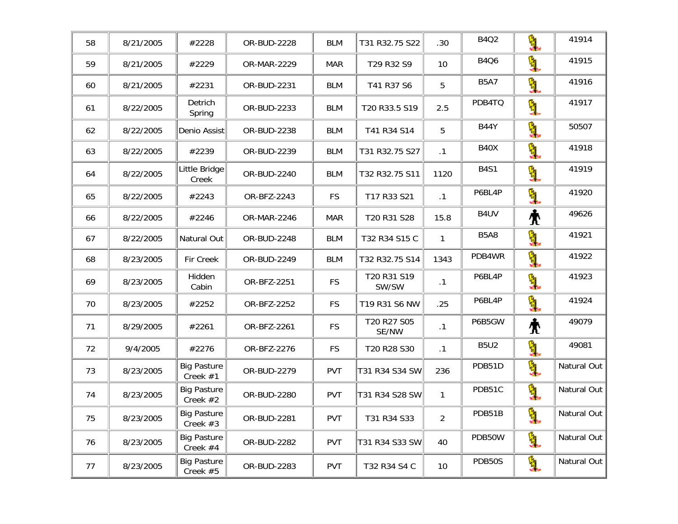| 58 | 8/21/2005 | #2228                            | OR-BUD-2228 | <b>BLM</b> | T31 R32.75 S22       | .30            | <b>B4Q2</b> | ý, | 41914       |
|----|-----------|----------------------------------|-------------|------------|----------------------|----------------|-------------|----|-------------|
| 59 | 8/21/2005 | #2229                            | OR-MAR-2229 | <b>MAR</b> | T29 R32 S9           | 10             | <b>B4Q6</b> | ý. | 41915       |
| 60 | 8/21/2005 | #2231                            | OR-BUD-2231 | <b>BLM</b> | T41 R37 S6           | 5              | <b>B5A7</b> | ý, | 41916       |
| 61 | 8/22/2005 | Detrich<br>Spring                | OR-BUD-2233 | <b>BLM</b> | T20 R33.5 S19        | 2.5            | PDB4TQ      | ý. | 41917       |
| 62 | 8/22/2005 | Denio Assist                     | OR-BUD-2238 | <b>BLM</b> | T41 R34 S14          | 5              | <b>B44Y</b> | y. | 50507       |
| 63 | 8/22/2005 | #2239                            | OR-BUD-2239 | <b>BLM</b> | T31 R32.75 S27       | $\cdot$ 1      | <b>B40X</b> | ý. | 41918       |
| 64 | 8/22/2005 | Little Bridge<br>Creek           | OR-BUD-2240 | <b>BLM</b> | T32 R32.75 S11       | 1120           | <b>B4S1</b> | Ú. | 41919       |
| 65 | 8/22/2005 | #2243                            | OR-BFZ-2243 | <b>FS</b>  | T17 R33 S21          | .1             | P6BL4P      | Ý. | 41920       |
| 66 | 8/22/2005 | #2246                            | OR-MAR-2246 | <b>MAR</b> | T20 R31 S28          | 15.8           | B4UV        | Ϋ  | 49626       |
| 67 | 8/22/2005 | Natural Out                      | OR-BUD-2248 | <b>BLM</b> | T32 R34 S15 C        | $\mathbf{1}$   | <b>B5A8</b> | Ů. | 41921       |
| 68 | 8/23/2005 | Fir Creek                        | OR-BUD-2249 | <b>BLM</b> | T32 R32.75 S14       | 1343           | PDB4WR      | Ù. | 41922       |
| 69 | 8/23/2005 | Hidden<br>Cabin                  | OR-BFZ-2251 | <b>FS</b>  | T20 R31 S19<br>SW/SW | .1             | P6BL4P      | ý. | 41923       |
| 70 | 8/23/2005 | #2252                            | OR-BFZ-2252 | <b>FS</b>  | T19 R31 S6 NW        | .25            | P6BL4P      | Å. | 41924       |
| 71 | 8/29/2005 | #2261                            | OR-BFZ-2261 | <b>FS</b>  | T20 R27 S05<br>SE/NW | .1             | P6B5GW      | ∱  | 49079       |
| 72 | 9/4/2005  | #2276                            | OR-BFZ-2276 | <b>FS</b>  | T20 R28 S30          | .1             | <b>B5U2</b> | ý, | 49081       |
| 73 | 8/23/2005 | <b>Big Pasture</b><br>Creek $#1$ | OR-BUD-2279 | PVT        | T31 R34 S34 SW       | 236            | PDB51D      | ý, | Natural Out |
| 74 | 8/23/2005 | <b>Big Pasture</b><br>Creek $#2$ | OR-BUD-2280 | <b>PVT</b> | T31 R34 S28 SW       | $\mathbf{1}$   | PDB51C      | ý, | Natural Out |
| 75 | 8/23/2005 | <b>Big Pasture</b><br>Creek $#3$ | OR-BUD-2281 | PVT        | T31 R34 S33          | $\overline{2}$ | PDB51B      | ý, | Natural Out |
| 76 | 8/23/2005 | <b>Big Pasture</b><br>Creek $#4$ | OR-BUD-2282 | PVT        | T31 R34 S33 SW       | 40             | PDB50W      | ý, | Natural Out |
| 77 | 8/23/2005 | <b>Big Pasture</b><br>Creek $#5$ | OR-BUD-2283 | PVT        | T32 R34 S4 C         | 10             | PDB50S      | ý. | Natural Out |